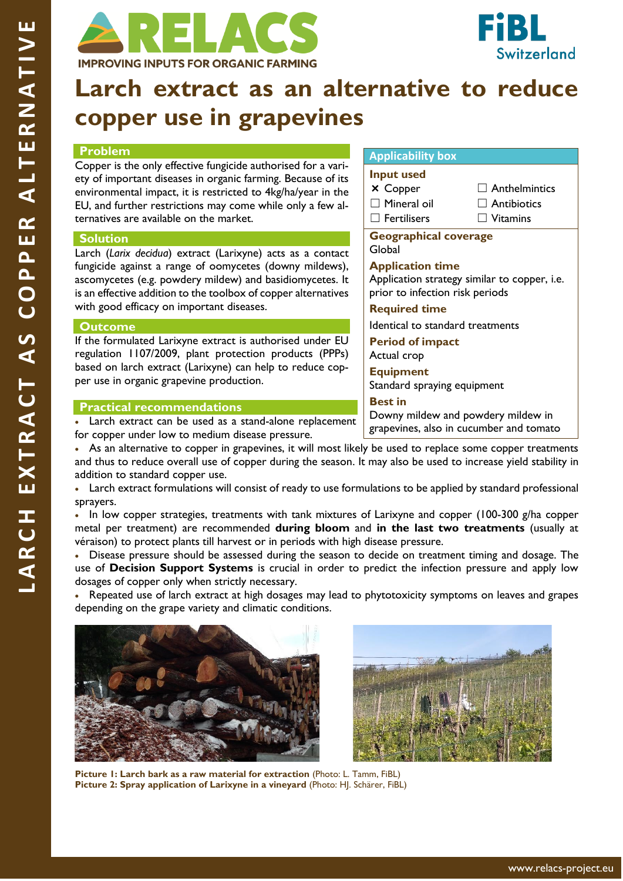



# **Larch extract as an alternative to reduce copper use in grapevines**

### **Problem**

Copper is the only effective fungicide authorised for a variety of important diseases in organic farming. Because of its environmental impact, it is restricted to 4kg/ha/year in the EU, and further restrictions may come while only a few alternatives are available on the market.

### **Solution**

Larch (*Larix decidua*) extract (Larixyne) acts as a contact fungicide against a range of oomycetes (downy mildews), ascomycetes (e.g. powdery mildew) and basidiomycetes. It is an effective addition to the toolbox of copper alternatives with good efficacy on important diseases.

#### **Outcome**

If the formulated Larixyne extract is authorised under EU regulation 1107/2009, plant protection products (PPPs) based on larch extract (Larixyne) can help to reduce copper use in organic grapevine production.

# **Practical recommendations**

Larch extract can be used as a stand-alone replacement for copper under low to medium disease pressure.

• As an alternative to copper in grapevines, it will most likely be used to replace some copper treatments and thus to reduce overall use of copper during the season. It may also be used to increase yield stability in addition to standard copper use.

• Larch extract formulations will consist of ready to use formulations to be applied by standard professional sprayers.

• In low copper strategies, treatments with tank mixtures of Larixyne and copper (100-300 g/ha copper metal per treatment) are recommended **during bloom** and **in the last two treatments** (usually at véraison) to protect plants till harvest or in periods with high disease pressure.

• Disease pressure should be assessed during the season to decide on treatment timing and dosage. The use of **Decision Support Systems** is crucial in order to predict the infection pressure and apply low dosages of copper only when strictly necessary.

• Repeated use of larch extract at high dosages may lead to phytotoxicity symptoms on leaves and grapes depending on the grape variety and climatic conditions.





**Picture 1: Larch bark as a raw material for extraction** (Photo: L. Tamm, FiBL) **Picture 2: Spray application of Larixyne in a vineyard** (Photo: HJ. Schärer, FiBL)

# www.relacs-project.eu

# **Applicability box**

|  | <b>Input used</b> |
|--|-------------------|
|  |                   |

- × Copper □ Mineral oil
- ☐ Fertilisers
- $\Box$  Anthelmintics  $\Box$  Antibiotics
- - ☐ Vitamins

**Geographical coverage**  Global

**Application time**

Application strategy similar to copper, i.e. prior to infection risk periods

# **Required time**

Identical to standard treatments

**Period of impact** Actual crop

**Equipment** Standard spraying equipment

**Best in** Downy mildew and powdery mildew in

grapevines, also in cucumber and tomato